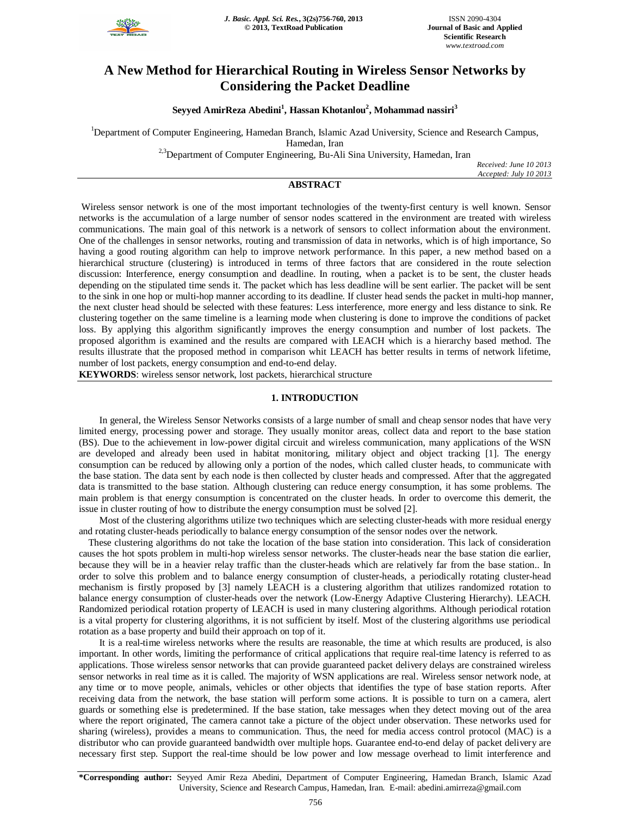

# **A New Method for Hierarchical Routing in Wireless Sensor Networks by Considering the Packet Deadline**

**Seyyed AmirReza Abedini<sup>1</sup> , Hassan Khotanlou<sup>2</sup> , Mohammad nassiri<sup>3</sup>**

<sup>1</sup>Department of Computer Engineering, Hamedan Branch, Islamic Azad University, Science and Research Campus, Hamedan, Iran

<sup>2,3</sup>Department of Computer Engineering, Bu-Ali Sina University, Hamedan, Iran

*Received: June 10 2013 Accepted: July 10 2013*

# **ABSTRACT**

Wireless sensor network is one of the most important technologies of the twenty-first century is well known. Sensor networks is the accumulation of a large number of sensor nodes scattered in the environment are treated with wireless communications. The main goal of this network is a network of sensors to collect information about the environment. One of the challenges in sensor networks, routing and transmission of data in networks, which is of high importance, So having a good routing algorithm can help to improve network performance. In this paper, a new method based on a hierarchical structure (clustering) is introduced in terms of three factors that are considered in the route selection discussion: Interference, energy consumption and deadline. In routing, when a packet is to be sent, the cluster heads depending on the stipulated time sends it. The packet which has less deadline will be sent earlier. The packet will be sent to the sink in one hop or multi-hop manner according to its deadline. If cluster head sends the packet in multi-hop manner, the next cluster head should be selected with these features: Less interference, more energy and less distance to sink. Re clustering together on the same timeline is a learning mode when clustering is done to improve the conditions of packet loss. By applying this algorithm significantly improves the energy consumption and number of lost packets. The proposed algorithm is examined and the results are compared with LEACH which is a hierarchy based method. The results illustrate that the proposed method in comparison whit LEACH has better results in terms of network lifetime, number of lost packets, energy consumption and end-to-end delay.

**KEYWORDS**: wireless sensor network, lost packets, hierarchical structure

#### **1. INTRODUCTION**

In general, the Wireless Sensor Networks consists of a large number of small and cheap sensor nodes that have very limited energy, processing power and storage. They usually monitor areas, collect data and report to the base station (BS). Due to the achievement in low-power digital circuit and wireless communication, many applications of the WSN are developed and already been used in habitat monitoring, military object and object tracking [1]. The energy consumption can be reduced by allowing only a portion of the nodes, which called cluster heads, to communicate with the base station. The data sent by each node is then collected by cluster heads and compressed. After that the aggregated data is transmitted to the base station. Although clustering can reduce energy consumption, it has some problems. The main problem is that energy consumption is concentrated on the cluster heads. In order to overcome this demerit, the issue in cluster routing of how to distribute the energy consumption must be solved [2].

Most of the clustering algorithms utilize two techniques which are selecting cluster-heads with more residual energy and rotating cluster-heads periodically to balance energy consumption of the sensor nodes over the network.

These clustering algorithms do not take the location of the base station into consideration. This lack of consideration causes the hot spots problem in multi-hop wireless sensor networks. The cluster-heads near the base station die earlier, because they will be in a heavier relay traffic than the cluster-heads which are relatively far from the base station.. In order to solve this problem and to balance energy consumption of cluster-heads, a periodically rotating cluster-head mechanism is firstly proposed by [3] namely LEACH is a clustering algorithm that utilizes randomized rotation to balance energy consumption of cluster-heads over the network (Low-Energy Adaptive Clustering Hierarchy). LEACH. Randomized periodical rotation property of LEACH is used in many clustering algorithms. Although periodical rotation is a vital property for clustering algorithms, it is not sufficient by itself. Most of the clustering algorithms use periodical rotation as a base property and build their approach on top of it.

It is a real-time wireless networks where the results are reasonable, the time at which results are produced, is also important. In other words, limiting the performance of critical applications that require real-time latency is referred to as applications. Those wireless sensor networks that can provide guaranteed packet delivery delays are constrained wireless sensor networks in real time as it is called. The majority of WSN applications are real. Wireless sensor network node, at any time or to move people, animals, vehicles or other objects that identifies the type of base station reports. After receiving data from the network, the base station will perform some actions. It is possible to turn on a camera, alert guards or something else is predetermined. If the base station, take messages when they detect moving out of the area where the report originated, The camera cannot take a picture of the object under observation. These networks used for sharing (wireless), provides a means to communication. Thus, the need for media access control protocol (MAC) is a distributor who can provide guaranteed bandwidth over multiple hops. Guarantee end-to-end delay of packet delivery are necessary first step. Support the real-time should be low power and low message overhead to limit interference and

**\*Corresponding author:** Seyyed Amir Reza Abedini, Department of Computer Engineering, Hamedan Branch, Islamic Azad University, Science and Research Campus, Hamedan, Iran. E-mail: abedini.amirreza@gmail.com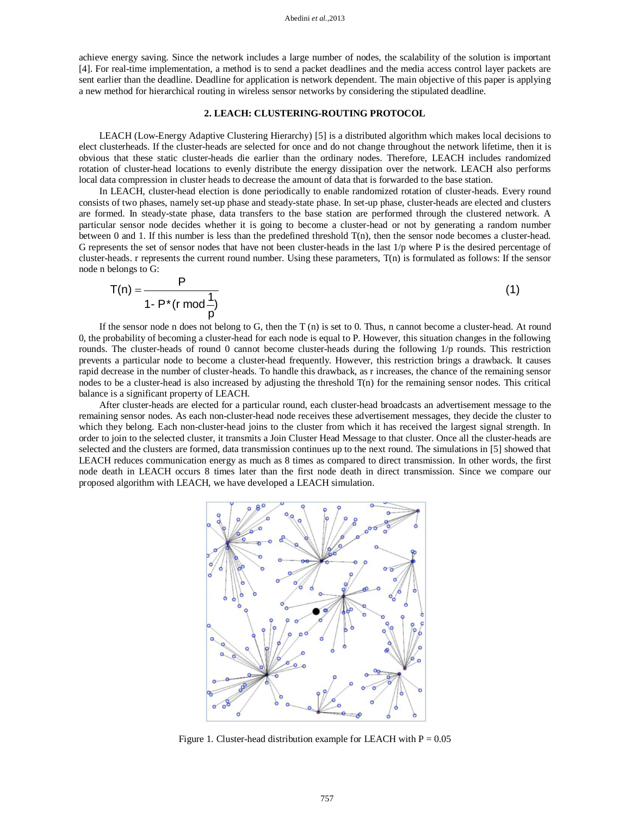achieve energy saving. Since the network includes a large number of nodes, the scalability of the solution is important [4]. For real-time implementation, a method is to send a packet deadlines and the media access control layer packets are sent earlier than the deadline. Deadline for application is network dependent. The main objective of this paper is applying a new method for hierarchical routing in wireless sensor networks by considering the stipulated deadline.

### **2. LEACH: CLUSTERING-ROUTING PROTOCOL**

LEACH (Low-Energy Adaptive Clustering Hierarchy) [5] is a distributed algorithm which makes local decisions to elect clusterheads. If the cluster-heads are selected for once and do not change throughout the network lifetime, then it is obvious that these static cluster-heads die earlier than the ordinary nodes. Therefore, LEACH includes randomized rotation of cluster-head locations to evenly distribute the energy dissipation over the network. LEACH also performs local data compression in cluster heads to decrease the amount of data that is forwarded to the base station.

In LEACH, cluster-head election is done periodically to enable randomized rotation of cluster-heads. Every round consists of two phases, namely set-up phase and steady-state phase. In set-up phase, cluster-heads are elected and clusters are formed. In steady-state phase, data transfers to the base station are performed through the clustered network. A particular sensor node decides whether it is going to become a cluster-head or not by generating a random number between 0 and 1. If this number is less than the predefined threshold T(n), then the sensor node becomes a cluster-head. G represents the set of sensor nodes that have not been cluster-heads in the last  $1/p$  where P is the desired percentage of cluster-heads. r represents the current round number. Using these parameters, T(n) is formulated as follows: If the sensor node n belongs to G:

$$
T(n) = \frac{P}{1 - P^*(r \mod \frac{1}{p})}
$$
\n
$$
(1)
$$

If the sensor node n does not belong to  $G$ , then the  $T(n)$  is set to 0. Thus, n cannot become a cluster-head. At round 0, the probability of becoming a cluster-head for each node is equal to P. However, this situation changes in the following rounds. The cluster-heads of round 0 cannot become cluster-heads during the following 1/p rounds. This restriction prevents a particular node to become a cluster-head frequently. However, this restriction brings a drawback. It causes rapid decrease in the number of cluster-heads. To handle this drawback, as r increases, the chance of the remaining sensor nodes to be a cluster-head is also increased by adjusting the threshold T(n) for the remaining sensor nodes. This critical balance is a significant property of LEACH.

After cluster-heads are elected for a particular round, each cluster-head broadcasts an advertisement message to the remaining sensor nodes. As each non-cluster-head node receives these advertisement messages, they decide the cluster to which they belong. Each non-cluster-head joins to the cluster from which it has received the largest signal strength. In order to join to the selected cluster, it transmits a Join Cluster Head Message to that cluster. Once all the cluster-heads are selected and the clusters are formed, data transmission continues up to the next round. The simulations in [5] showed that LEACH reduces communication energy as much as 8 times as compared to direct transmission. In other words, the first node death in LEACH occurs 8 times later than the first node death in direct transmission. Since we compare our proposed algorithm with LEACH, we have developed a LEACH simulation.



Figure 1. Cluster-head distribution example for LEACH with  $P = 0.05$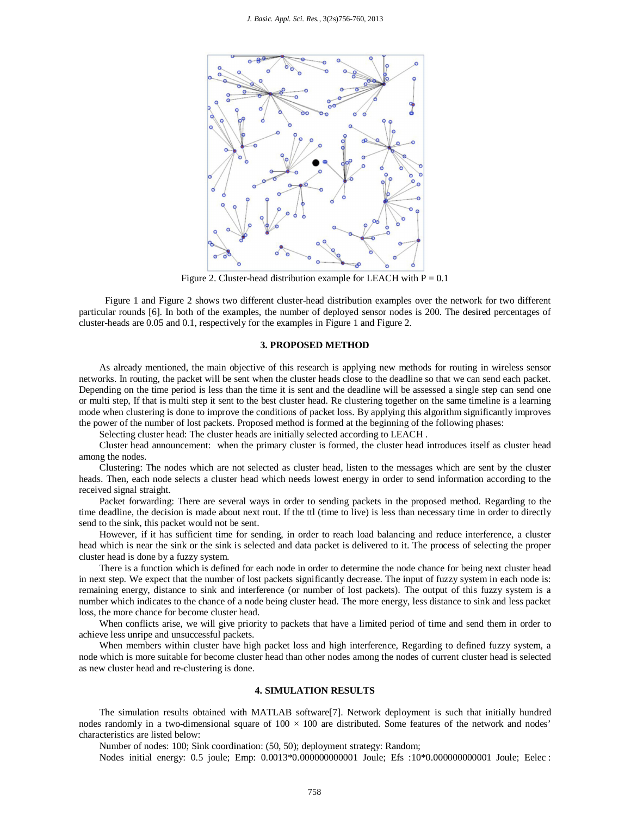

Figure 2. Cluster-head distribution example for LEACH with  $P = 0.1$ 

Figure 1 and Figure 2 shows two different cluster-head distribution examples over the network for two different particular rounds [6]. In both of the examples, the number of deployed sensor nodes is 200. The desired percentages of cluster-heads are 0.05 and 0.1, respectively for the examples in Figure 1 and Figure 2.

### **3. PROPOSED METHOD**

As already mentioned, the main objective of this research is applying new methods for routing in wireless sensor networks. In routing, the packet will be sent when the cluster heads close to the deadline so that we can send each packet. Depending on the time period is less than the time it is sent and the deadline will be assessed a single step can send one or multi step, If that is multi step it sent to the best cluster head. Re clustering together on the same timeline is a learning mode when clustering is done to improve the conditions of packet loss. By applying this algorithm significantly improves the power of the number of lost packets. Proposed method is formed at the beginning of the following phases:

Selecting cluster head: The cluster heads are initially selected according to LEACH .

Cluster head announcement: when the primary cluster is formed, the cluster head introduces itself as cluster head among the nodes.

Clustering: The nodes which are not selected as cluster head, listen to the messages which are sent by the cluster heads. Then, each node selects a cluster head which needs lowest energy in order to send information according to the received signal straight.

Packet forwarding: There are several ways in order to sending packets in the proposed method. Regarding to the time deadline, the decision is made about next rout. If the ttl (time to live) is less than necessary time in order to directly send to the sink, this packet would not be sent.

However, if it has sufficient time for sending, in order to reach load balancing and reduce interference, a cluster head which is near the sink or the sink is selected and data packet is delivered to it. The process of selecting the proper cluster head is done by a fuzzy system.

There is a function which is defined for each node in order to determine the node chance for being next cluster head in next step. We expect that the number of lost packets significantly decrease. The input of fuzzy system in each node is: remaining energy, distance to sink and interference (or number of lost packets). The output of this fuzzy system is a number which indicates to the chance of a node being cluster head. The more energy, less distance to sink and less packet loss, the more chance for become cluster head.

When conflicts arise, we will give priority to packets that have a limited period of time and send them in order to achieve less unripe and unsuccessful packets.

When members within cluster have high packet loss and high interference, Regarding to defined fuzzy system, a node which is more suitable for become cluster head than other nodes among the nodes of current cluster head is selected as new cluster head and re-clustering is done.

#### **4. SIMULATION RESULTS**

The simulation results obtained with MATLAB software[7]. Network deployment is such that initially hundred nodes randomly in a two-dimensional square of  $100 \times 100$  are distributed. Some features of the network and nodes' characteristics are listed below:

Number of nodes: 100; Sink coordination: (50, 50); deployment strategy: Random;

Nodes initial energy: 0.5 joule; Emp: 0.0013\*0.000000000001 Joule; Efs :10\*0.000000000001 Joule; Eelec :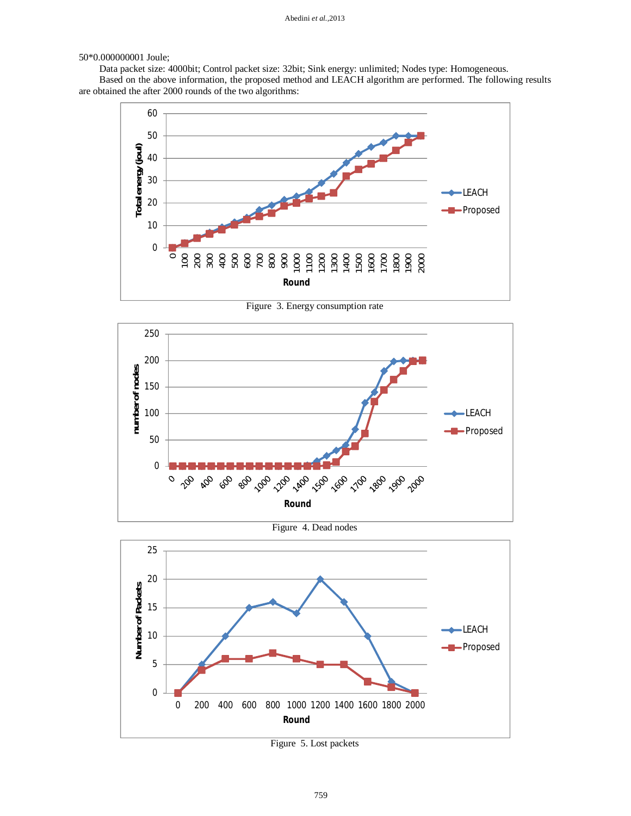#### 50\*0.000000001 Joule;

Data packet size: 4000bit; Control packet size: 32bit; Sink energy: unlimited; Nodes type: Homogeneous.

Based on the above information, the proposed method and LEACH algorithm are performed. The following results are obtained the after 2000 rounds of the two algorithms:



Figure 3. Energy consumption rate



Figure 4. Dead nodes



Figure 5. Lost packets